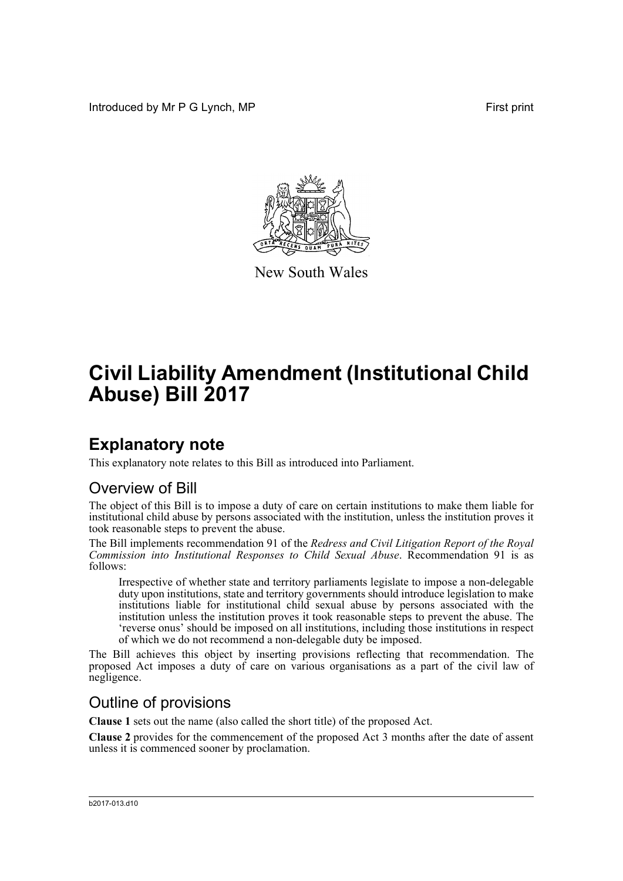Introduced by Mr P G Lynch, MP First print



New South Wales

# **Civil Liability Amendment (Institutional Child Abuse) Bill 2017**

## **Explanatory note**

This explanatory note relates to this Bill as introduced into Parliament.

## Overview of Bill

The object of this Bill is to impose a duty of care on certain institutions to make them liable for institutional child abuse by persons associated with the institution, unless the institution proves it took reasonable steps to prevent the abuse.

The Bill implements recommendation 91 of the *Redress and Civil Litigation Report of the Royal Commission into Institutional Responses to Child Sexual Abuse*. Recommendation 91 is as follows:

Irrespective of whether state and territory parliaments legislate to impose a non-delegable duty upon institutions, state and territory governments should introduce legislation to make institutions liable for institutional child sexual abuse by persons associated with the institution unless the institution proves it took reasonable steps to prevent the abuse. The 'reverse onus' should be imposed on all institutions, including those institutions in respect of which we do not recommend a non-delegable duty be imposed.

The Bill achieves this object by inserting provisions reflecting that recommendation. The proposed Act imposes a duty of care on various organisations as a part of the civil law of negligence.

## Outline of provisions

**Clause 1** sets out the name (also called the short title) of the proposed Act.

**Clause 2** provides for the commencement of the proposed Act 3 months after the date of assent unless it is commenced sooner by proclamation.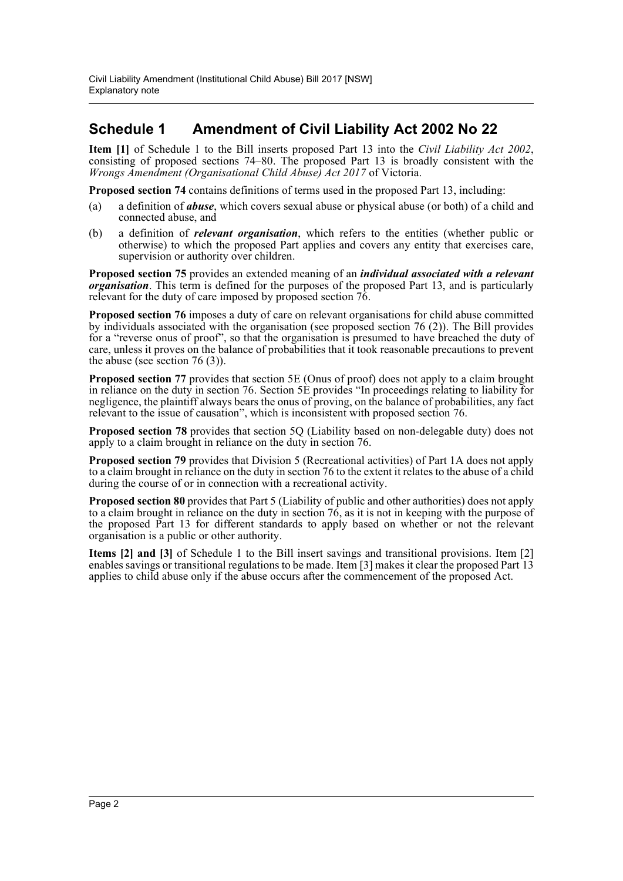### **Schedule 1 Amendment of Civil Liability Act 2002 No 22**

**Item [1]** of Schedule 1 to the Bill inserts proposed Part 13 into the *Civil Liability Act 2002*, consisting of proposed sections 74–80. The proposed Part 13 is broadly consistent with the *Wrongs Amendment (Organisational Child Abuse) Act 2017* of Victoria.

**Proposed section 74** contains definitions of terms used in the proposed Part 13, including:

- (a) a definition of *abuse*, which covers sexual abuse or physical abuse (or both) of a child and connected abuse, and
- (b) a definition of *relevant organisation*, which refers to the entities (whether public or otherwise) to which the proposed Part applies and covers any entity that exercises care, supervision or authority over children.

**Proposed section 75** provides an extended meaning of an *individual associated with a relevant organisation*. This term is defined for the purposes of the proposed Part 13, and is particularly relevant for the duty of care imposed by proposed section 76.

**Proposed section 76** imposes a duty of care on relevant organisations for child abuse committed by individuals associated with the organisation (see proposed section 76 (2)). The Bill provides for a "reverse onus of proof", so that the organisation is presumed to have breached the duty of care, unless it proves on the balance of probabilities that it took reasonable precautions to prevent the abuse (see section  $76(3)$ ).

**Proposed section 77** provides that section 5E (Onus of proof) does not apply to a claim brought in reliance on the duty in section 76. Section 5E provides "In proceedings relating to liability for negligence, the plaintiff always bears the onus of proving, on the balance of probabilities, any fact relevant to the issue of causation", which is inconsistent with proposed section 76.

**Proposed section 78** provides that section 5Q (Liability based on non-delegable duty) does not apply to a claim brought in reliance on the duty in section 76.

**Proposed section 79** provides that Division 5 (Recreational activities) of Part 1A does not apply to a claim brought in reliance on the duty in section 76 to the extent it relates to the abuse of a child during the course of or in connection with a recreational activity.

**Proposed section 80** provides that Part 5 (Liability of public and other authorities) does not apply to a claim brought in reliance on the duty in section 76, as it is not in keeping with the purpose of the proposed Part 13 for different standards to apply based on whether or not the relevant organisation is a public or other authority.

**Items [2] and [3]** of Schedule 1 to the Bill insert savings and transitional provisions. Item [2] enables savings or transitional regulations to be made. Item [3] makes it clear the proposed Part 13 applies to child abuse only if the abuse occurs after the commencement of the proposed Act.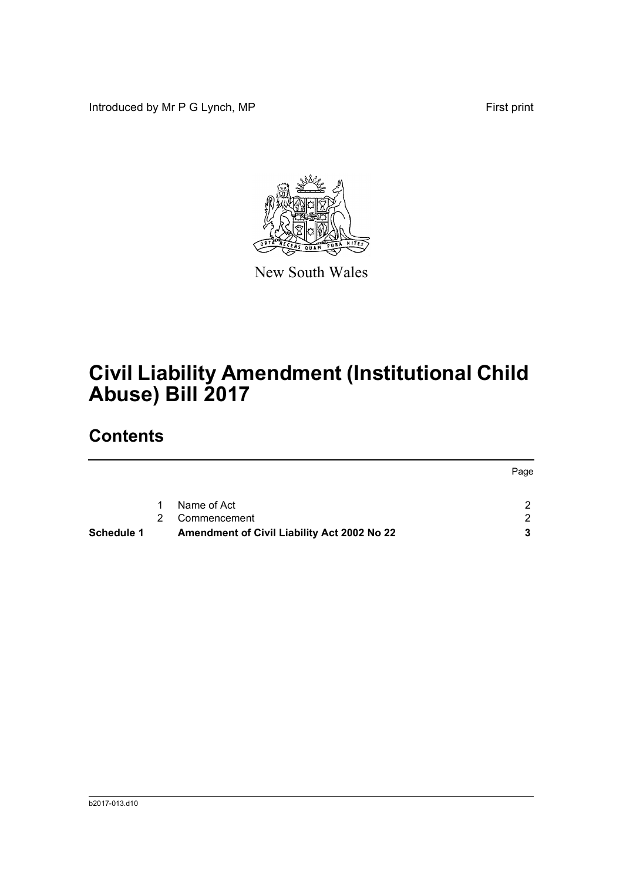Introduced by Mr P G Lynch, MP First print



New South Wales

# **Civil Liability Amendment (Institutional Child Abuse) Bill 2017**

## **Contents**

|            |   |                                             | Page          |
|------------|---|---------------------------------------------|---------------|
|            | 1 | Name of Act                                 | C             |
|            | 2 | Commencement                                | $\mathcal{D}$ |
| Schedule 1 |   | Amendment of Civil Liability Act 2002 No 22 |               |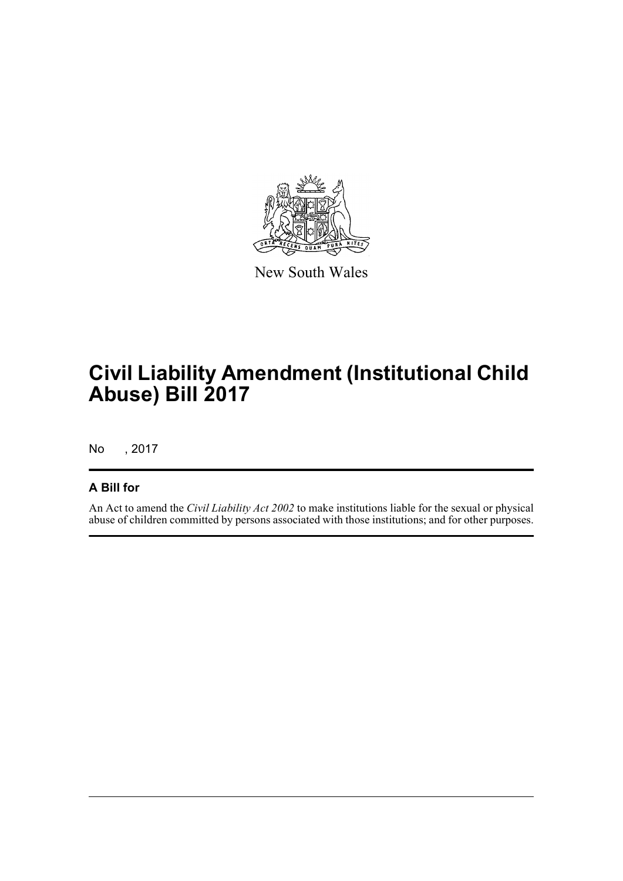

New South Wales

# **Civil Liability Amendment (Institutional Child Abuse) Bill 2017**

No , 2017

### **A Bill for**

An Act to amend the *Civil Liability Act 2002* to make institutions liable for the sexual or physical abuse of children committed by persons associated with those institutions; and for other purposes.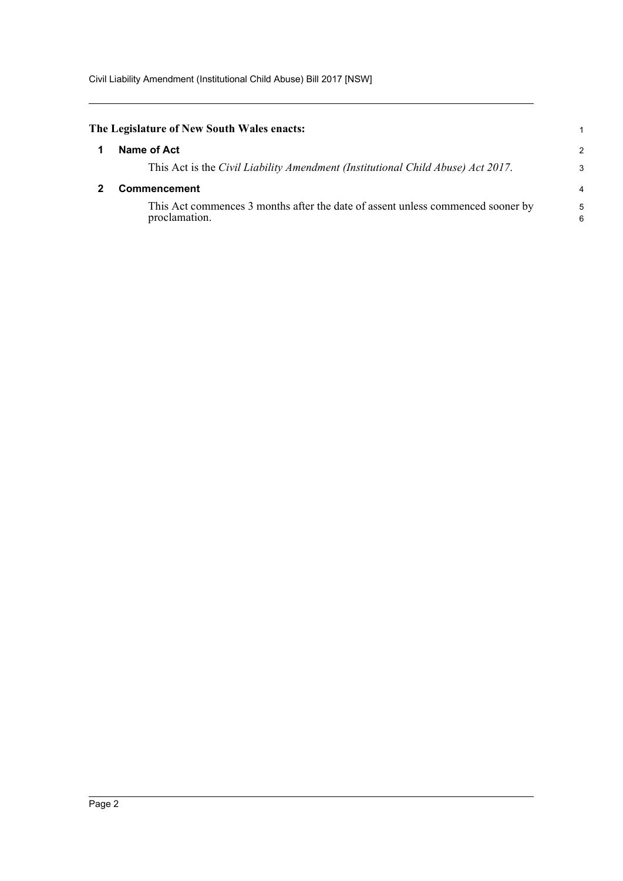<span id="page-4-1"></span><span id="page-4-0"></span>

| The Legislature of New South Wales enacts:                                                       |        |
|--------------------------------------------------------------------------------------------------|--------|
| Name of Act                                                                                      | 2      |
| This Act is the Civil Liability Amendment (Institutional Child Abuse) Act 2017.                  | 3      |
| <b>Commencement</b>                                                                              |        |
| This Act commences 3 months after the date of assent unless commenced sooner by<br>proclamation. | 5<br>6 |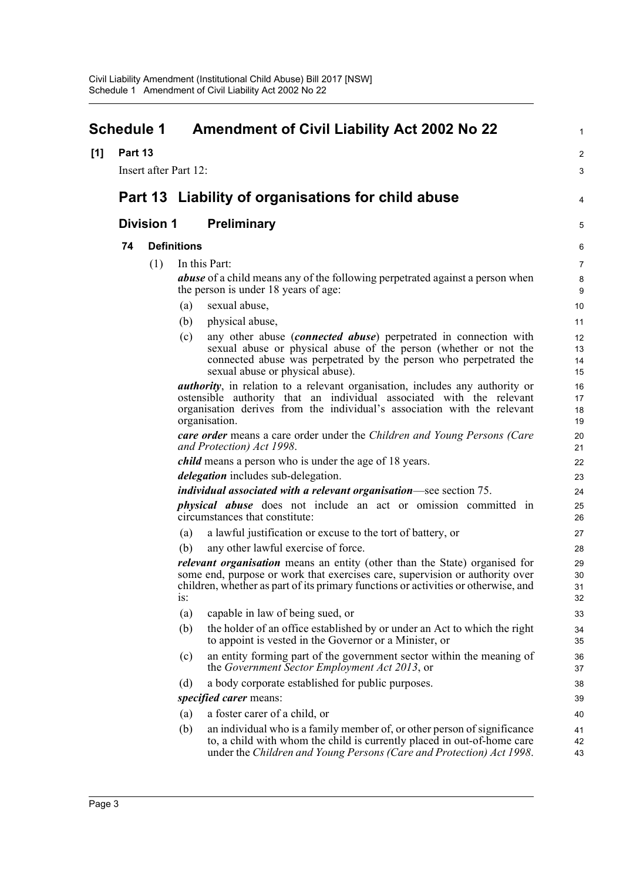<span id="page-5-0"></span>

|     | <b>Schedule 1</b> |                       |                    | <b>Amendment of Civil Liability Act 2002 No 22</b>                                                                                                                                                                                                      | $\mathbf{1}$         |
|-----|-------------------|-----------------------|--------------------|---------------------------------------------------------------------------------------------------------------------------------------------------------------------------------------------------------------------------------------------------------|----------------------|
| [1] | Part 13           |                       |                    |                                                                                                                                                                                                                                                         | $\overline{2}$       |
|     |                   | Insert after Part 12: |                    |                                                                                                                                                                                                                                                         | 3                    |
|     |                   |                       |                    | Part 13 Liability of organisations for child abuse                                                                                                                                                                                                      | 4                    |
|     |                   | <b>Division 1</b>     |                    | <b>Preliminary</b>                                                                                                                                                                                                                                      | 5                    |
|     | 74                |                       | <b>Definitions</b> |                                                                                                                                                                                                                                                         | 6                    |
|     |                   | (1)                   |                    | In this Part:                                                                                                                                                                                                                                           | 7                    |
|     |                   |                       |                    | <b>abuse</b> of a child means any of the following perpetrated against a person when<br>the person is under 18 years of age:                                                                                                                            | 8<br>9               |
|     |                   |                       | (a)                | sexual abuse,                                                                                                                                                                                                                                           | 10                   |
|     |                   |                       | (b)                | physical abuse,                                                                                                                                                                                                                                         | 11                   |
|     |                   |                       | (c)                | any other abuse <i>(connected abuse)</i> perpetrated in connection with<br>sexual abuse or physical abuse of the person (whether or not the<br>connected abuse was perpetrated by the person who perpetrated the<br>sexual abuse or physical abuse).    | 12<br>13<br>14<br>15 |
|     |                   |                       |                    | <i>authority</i> , in relation to a relevant organisation, includes any authority or                                                                                                                                                                    | 16                   |
|     |                   |                       |                    | ostensible authority that an individual associated with the relevant<br>organisation derives from the individual's association with the relevant                                                                                                        | 17<br>18             |
|     |                   |                       |                    | organisation.                                                                                                                                                                                                                                           | 19                   |
|     |                   |                       |                    | care order means a care order under the Children and Young Persons (Care<br>and Protection) Act 1998.                                                                                                                                                   | 20<br>21             |
|     |                   |                       |                    | <i>child</i> means a person who is under the age of 18 years.                                                                                                                                                                                           | 22                   |
|     |                   |                       |                    | <i>delegation</i> includes sub-delegation.                                                                                                                                                                                                              | 23                   |
|     |                   |                       |                    | individual associated with a relevant organisation-see section 75.                                                                                                                                                                                      | 24                   |
|     |                   |                       |                    | <i>physical abuse</i> does not include an act or omission committed in<br>circumstances that constitute:                                                                                                                                                | 25<br>26             |
|     |                   |                       | (a)                | a lawful justification or excuse to the tort of battery, or                                                                                                                                                                                             | 27                   |
|     |                   |                       | (b)                | any other lawful exercise of force.                                                                                                                                                                                                                     | 28                   |
|     |                   |                       | 1S:                | <i>relevant organisation</i> means an entity (other than the State) organised for<br>some end, purpose or work that exercises care, supervision or authority over<br>children, whether as part of its primary functions or activities or otherwise, and | 29<br>30<br>31<br>32 |
|     |                   |                       | (a)                | capable in law of being sued, or                                                                                                                                                                                                                        | 33                   |
|     |                   |                       | (b)                | the holder of an office established by or under an Act to which the right<br>to appoint is vested in the Governor or a Minister, or                                                                                                                     | 34<br>35             |
|     |                   |                       | (c)                | an entity forming part of the government sector within the meaning of<br>the Government Sector Employment Act 2013, or                                                                                                                                  | 36<br>37             |
|     |                   |                       | (d)                | a body corporate established for public purposes.                                                                                                                                                                                                       | 38                   |
|     |                   |                       |                    | <i>specified carer</i> means:                                                                                                                                                                                                                           | 39                   |
|     |                   |                       | (a)                | a foster carer of a child, or                                                                                                                                                                                                                           | 40                   |
|     |                   |                       | (b)                | an individual who is a family member of, or other person of significance<br>to, a child with whom the child is currently placed in out-of-home care<br>under the Children and Young Persons (Care and Protection) Act 1998.                             | 41<br>42<br>43       |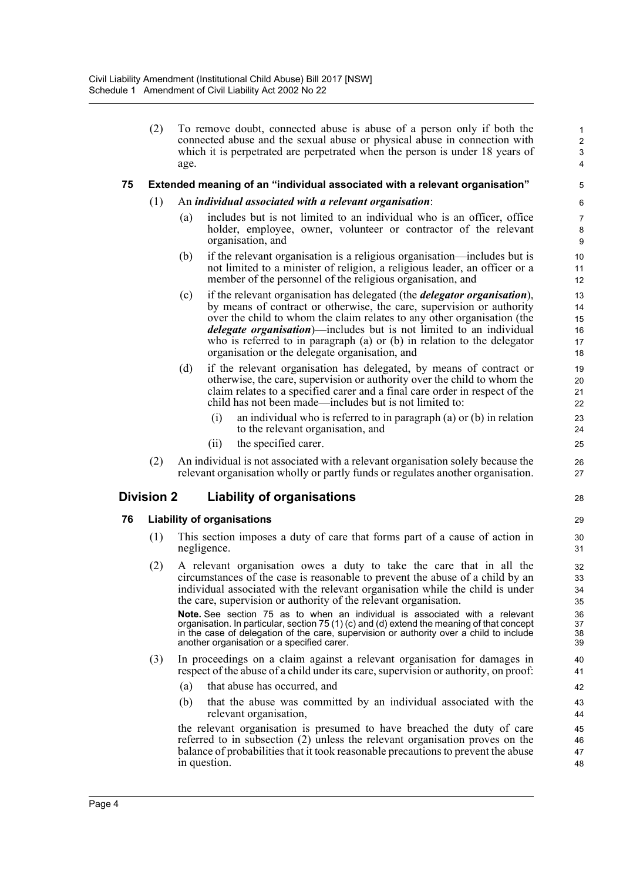(2) To remove doubt, connected abuse is abuse of a person only if both the connected abuse and the sexual abuse or physical abuse in connection with which it is perpetrated are perpetrated when the person is under 18 years of age.

28

#### **75 Extended meaning of an "individual associated with a relevant organisation"**

- (1) An *individual associated with a relevant organisation*:
	- (a) includes but is not limited to an individual who is an officer, office holder, employee, owner, volunteer or contractor of the relevant organisation, and
	- (b) if the relevant organisation is a religious organisation—includes but is not limited to a minister of religion, a religious leader, an officer or a member of the personnel of the religious organisation, and
	- (c) if the relevant organisation has delegated (the *delegator organisation*), by means of contract or otherwise, the care, supervision or authority over the child to whom the claim relates to any other organisation (the *delegate organisation*)—includes but is not limited to an individual who is referred to in paragraph (a) or (b) in relation to the delegator organisation or the delegate organisation, and
	- (d) if the relevant organisation has delegated, by means of contract or otherwise, the care, supervision or authority over the child to whom the claim relates to a specified carer and a final care order in respect of the child has not been made—includes but is not limited to:
		- (i) an individual who is referred to in paragraph (a) or (b) in relation to the relevant organisation, and
		- (ii) the specified carer.
- (2) An individual is not associated with a relevant organisation solely because the relevant organisation wholly or partly funds or regulates another organisation.

### **Division 2 Liability of organisations**

#### **76 Liability of organisations**

- (1) This section imposes a duty of care that forms part of a cause of action in negligence.
- (2) A relevant organisation owes a duty to take the care that in all the circumstances of the case is reasonable to prevent the abuse of a child by an individual associated with the relevant organisation while the child is under the care, supervision or authority of the relevant organisation.

**Note.** See section 75 as to when an individual is associated with a relevant organisation. In particular, section 75 (1) (c) and (d) extend the meaning of that concept in the case of delegation of the care, supervision or authority over a child to include another organisation or a specified carer.

- (3) In proceedings on a claim against a relevant organisation for damages in respect of the abuse of a child under its care, supervision or authority, on proof:
	- (a) that abuse has occurred, and
	- (b) that the abuse was committed by an individual associated with the relevant organisation,

the relevant organisation is presumed to have breached the duty of care referred to in subsection (2) unless the relevant organisation proves on the balance of probabilities that it took reasonable precautions to prevent the abuse in question. 45 46 47 48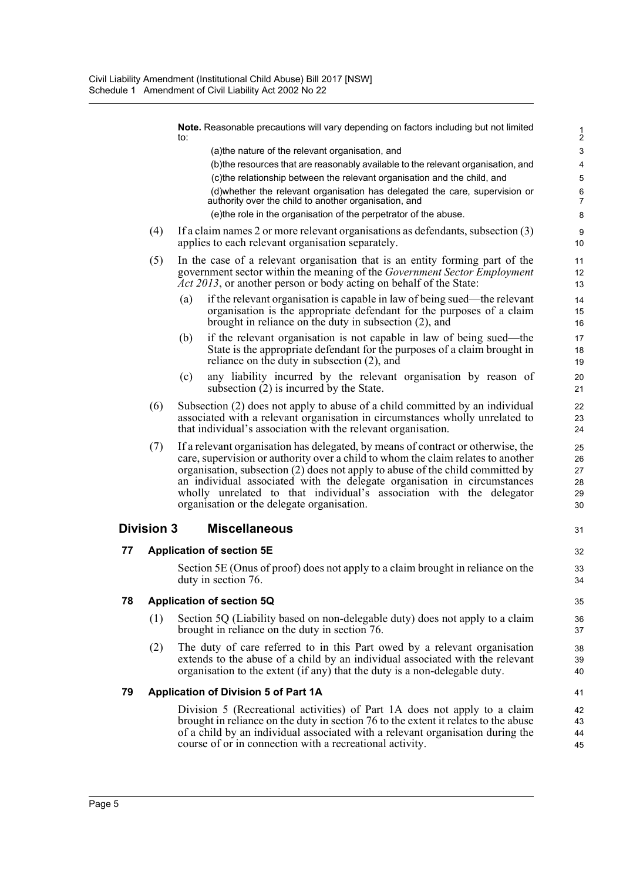|    |                   | <b>Note.</b> Reasonable precautions will vary depending on factors including but not limited<br>to:                                                                                                                                                                                                                                                                                                                                                      | $\frac{1}{2}$                    |  |
|----|-------------------|----------------------------------------------------------------------------------------------------------------------------------------------------------------------------------------------------------------------------------------------------------------------------------------------------------------------------------------------------------------------------------------------------------------------------------------------------------|----------------------------------|--|
|    |                   | (a) the nature of the relevant organisation, and                                                                                                                                                                                                                                                                                                                                                                                                         | $\mathbf{3}$                     |  |
|    |                   | (b) the resources that are reasonably available to the relevant organisation, and                                                                                                                                                                                                                                                                                                                                                                        | 4                                |  |
|    |                   | (c)the relationship between the relevant organisation and the child, and                                                                                                                                                                                                                                                                                                                                                                                 | $\mathbf 5$                      |  |
|    |                   | (d) whether the relevant organisation has delegated the care, supervision or<br>authority over the child to another organisation, and                                                                                                                                                                                                                                                                                                                    | 6<br>7                           |  |
|    |                   | (e)the role in the organisation of the perpetrator of the abuse.                                                                                                                                                                                                                                                                                                                                                                                         | 8                                |  |
|    | (4)               | If a claim names 2 or more relevant organisations as defendants, subsection $(3)$<br>applies to each relevant organisation separately.                                                                                                                                                                                                                                                                                                                   | 9<br>10                          |  |
|    | (5)               | In the case of a relevant organisation that is an entity forming part of the<br>government sector within the meaning of the <i>Government Sector Employment</i><br><i>Act 2013</i> , or another person or body acting on behalf of the State:                                                                                                                                                                                                            |                                  |  |
|    |                   | if the relevant organisation is capable in law of being sued—the relevant<br>(a)<br>organisation is the appropriate defendant for the purposes of a claim<br>brought in reliance on the duty in subsection $(2)$ , and                                                                                                                                                                                                                                   | 14<br>15<br>16                   |  |
|    |                   | if the relevant organisation is not capable in law of being sued-the<br>(b)<br>State is the appropriate defendant for the purposes of a claim brought in<br>reliance on the duty in subsection (2), and                                                                                                                                                                                                                                                  | 17<br>18<br>19                   |  |
|    |                   | (c)<br>any liability incurred by the relevant organisation by reason of<br>subsection $(2)$ is incurred by the State.                                                                                                                                                                                                                                                                                                                                    | 20<br>21                         |  |
|    | (6)               | Subsection (2) does not apply to abuse of a child committed by an individual<br>associated with a relevant organisation in circumstances wholly unrelated to<br>that individual's association with the relevant organisation.                                                                                                                                                                                                                            | 22<br>23<br>24                   |  |
|    | (7)               | If a relevant organisation has delegated, by means of contract or otherwise, the<br>care, supervision or authority over a child to whom the claim relates to another<br>organisation, subsection (2) does not apply to abuse of the child committed by<br>an individual associated with the delegate organisation in circumstances<br>wholly unrelated to that individual's association with the delegator<br>organisation or the delegate organisation. | 25<br>26<br>27<br>28<br>29<br>30 |  |
|    | <b>Division 3</b> | <b>Miscellaneous</b>                                                                                                                                                                                                                                                                                                                                                                                                                                     | 31                               |  |
| 77 |                   | <b>Application of section 5E</b>                                                                                                                                                                                                                                                                                                                                                                                                                         | 32                               |  |
|    |                   | Section 5E (Onus of proof) does not apply to a claim brought in reliance on the<br>duty in section 76.                                                                                                                                                                                                                                                                                                                                                   | 33<br>34                         |  |
| 78 |                   | <b>Application of section 5Q</b>                                                                                                                                                                                                                                                                                                                                                                                                                         | 35                               |  |
|    | (1)               | Section 5Q (Liability based on non-delegable duty) does not apply to a claim<br>brought in reliance on the duty in section 76.                                                                                                                                                                                                                                                                                                                           | 36<br>37                         |  |
|    | (2)               | The duty of care referred to in this Part owed by a relevant organisation<br>extends to the abuse of a child by an individual associated with the relevant<br>organisation to the extent (if any) that the duty is a non-delegable duty.                                                                                                                                                                                                                 | 38<br>39<br>40                   |  |
| 79 |                   | <b>Application of Division 5 of Part 1A</b>                                                                                                                                                                                                                                                                                                                                                                                                              | 41                               |  |
|    |                   | Division 5 (Recreational activities) of Part 1A does not apply to a claim<br>brought in reliance on the duty in section 76 to the extent it relates to the abuse<br>of a child by an individual associated with a relevant organisation during the<br>course of or in connection with a recreational activity.                                                                                                                                           | 42<br>43<br>44<br>45             |  |
|    |                   |                                                                                                                                                                                                                                                                                                                                                                                                                                                          |                                  |  |